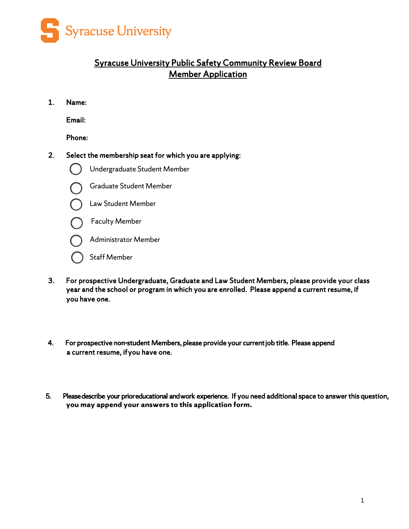

## Syracuse University Public Safety Community Review Board Member Application

1. Name:

Email:

Phone:

2. Select the membership seat for which you are applying:



Undergraduate Student Member



Graduate Student Member



Faculty Member



Staff Member

- 3. For prospective Undergraduate, Graduate and Law Student Members, please provide your class year and the school or program in which you are enrolled. Please append a current resume, if you have one.
- j  $\overline{\phantom{a}}$ 4. For prospective non-student Members, please provide your current job title. Please append a current resume, ifyou have one.
- 5. Please describe your prior educational and work experience. If you need additional space to answer this question, **you may append your answers to this application form.**